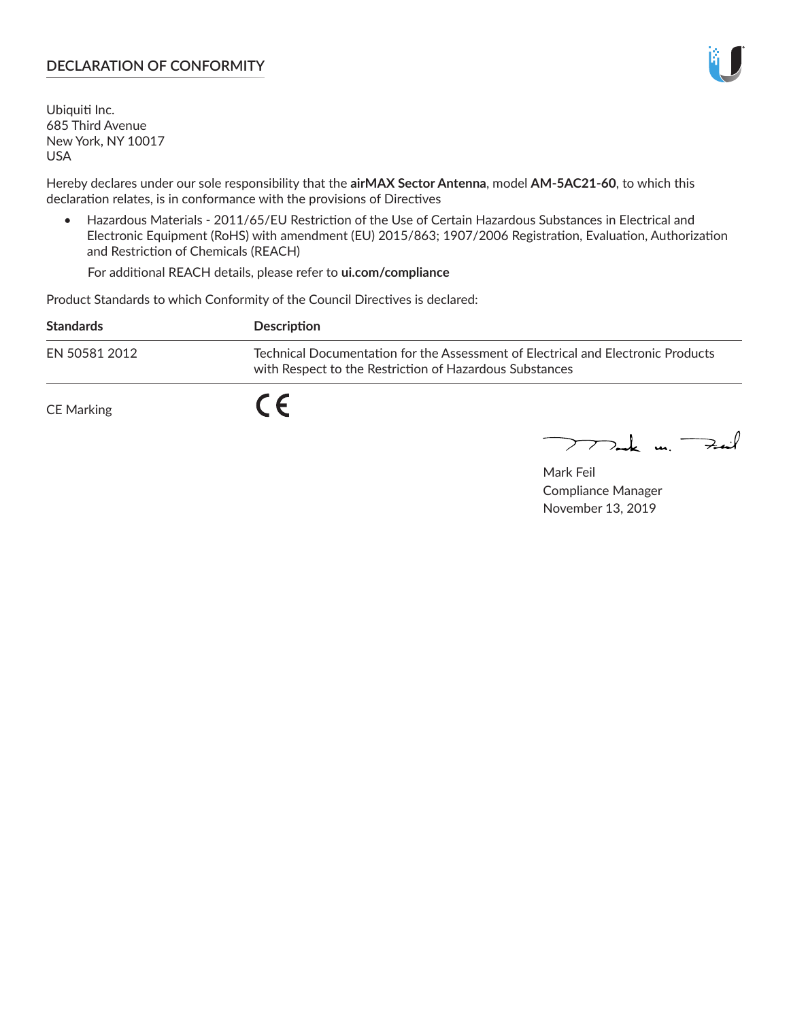### **DECLARATION OF CONFORMITY**

Ubiquiti Inc. 685 Third Avenue New York, NY 10017 USA

Hereby declares under our sole responsibility that the **airMAX Sector Antenna**, model **AM-5AC21-60**, to which this declaration relates, is in conformance with the provisions of Directives

• Hazardous Materials - 2011/65/EU Restriction of the Use of Certain Hazardous Substances in Electrical and Electronic Equipment (RoHS) with amendment (EU) 2015/863; 1907/2006 Registration, Evaluation, Authorization and Restriction of Chemicals (REACH)

For additional REACH details, please refer to **ui.com/compliance**

Product Standards to which Conformity of the Council Directives is declared:

| <b>Standards</b>  | Description                                                                                                                                 |
|-------------------|---------------------------------------------------------------------------------------------------------------------------------------------|
| EN 50581 2012     | Technical Documentation for the Assessment of Electrical and Electronic Products<br>with Respect to the Restriction of Hazardous Substances |
| <b>CE Marking</b> |                                                                                                                                             |

 $\sum_{n=1}^{\infty}$  un  $\sum_{n=1}^{\infty}$ 

Mark Feil Compliance Manager November 13, 2019

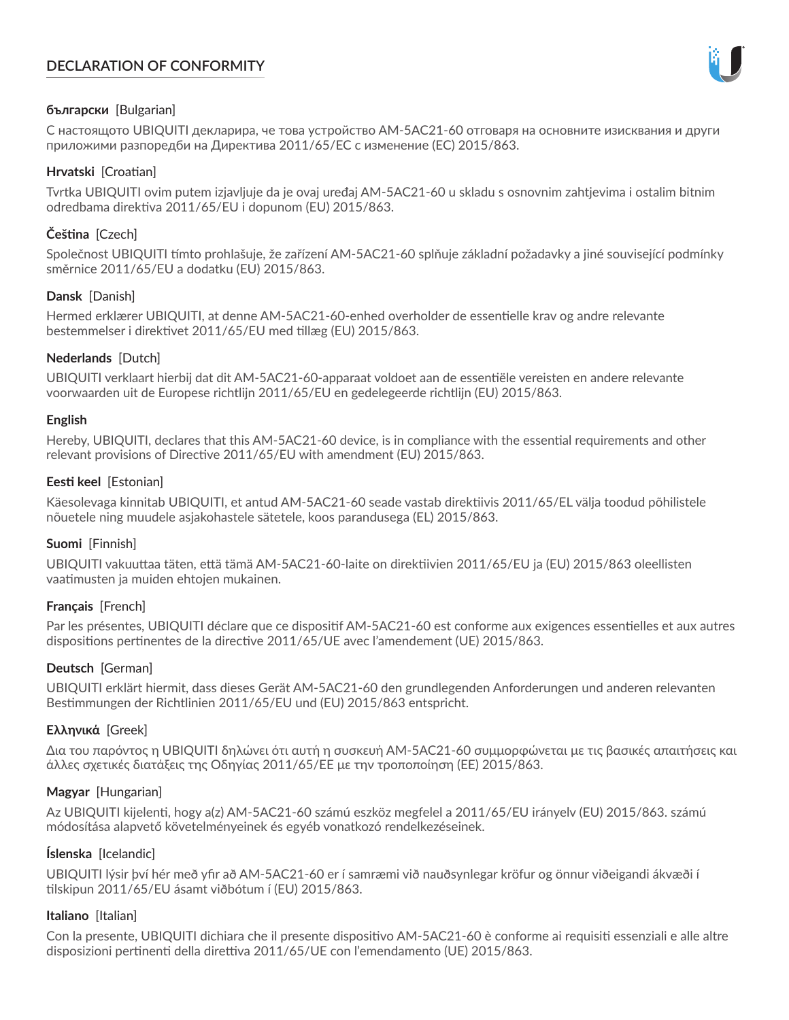# **DECLARATION OF CONFORMITY**



## **български** [Bulgarian]

С настоящото UBIQUITI декларира, че това устройство AM-5AC21-60 отговаря на основните изисквания и други приложими разпоредби на Директива 2011/65/ЕС с изменение (ЕС) 2015/863.

### **Hrvatski** [Croatian]

Tvrtka UBIQUITI ovim putem izjavljuje da je ovaj uređaj AM-5AC21-60 u skladu s osnovnim zahtjevima i ostalim bitnim odredbama direktiva 2011/65/EU i dopunom (EU) 2015/863.

# **Čeština** [Czech]

Společnost UBIQUITI tímto prohlašuje, že zařízení AM-5AC21-60 splňuje základní požadavky a jiné související podmínky směrnice 2011/65/EU a dodatku (EU) 2015/863.

### **Dansk** [Danish]

Hermed erklærer UBIQUITI, at denne AM-5AC21-60-enhed overholder de essentielle krav og andre relevante bestemmelser i direktivet 2011/65/EU med tillæg (EU) 2015/863.

### **Nederlands** [Dutch]

UBIQUITI verklaart hierbij dat dit AM-5AC21-60-apparaat voldoet aan de essentiële vereisten en andere relevante voorwaarden uit de Europese richtlijn 2011/65/EU en gedelegeerde richtlijn (EU) 2015/863.

#### **English**

Hereby, UBIQUITI, declares that this AM-5AC21-60 device, is in compliance with the essential requirements and other relevant provisions of Directive 2011/65/EU with amendment (EU) 2015/863.

### **Eesti keel** [Estonian]

Käesolevaga kinnitab UBIQUITI, et antud AM-5AC21-60 seade vastab direktiivis 2011/65/EL välja toodud põhilistele nõuetele ning muudele asjakohastele sätetele, koos parandusega (EL) 2015/863.

## **Suomi** [Finnish]

UBIQUITI vakuuttaa täten, että tämä AM-5AC21-60-laite on direktiivien 2011/65/EU ja (EU) 2015/863 oleellisten vaatimusten ja muiden ehtojen mukainen.

#### **Français** [French]

Par les présentes, UBIQUITI déclare que ce dispositif AM-5AC21-60 est conforme aux exigences essentielles et aux autres dispositions pertinentes de la directive 2011/65/UE avec l'amendement (UE) 2015/863.

## **Deutsch** [German]

UBIQUITI erklärt hiermit, dass dieses Gerät AM-5AC21-60 den grundlegenden Anforderungen und anderen relevanten Bestimmungen der Richtlinien 2011/65/EU und (EU) 2015/863 entspricht.

#### **Ελληνικά** [Greek]

Δια του παρόντος η UBIQUITI δηλώνει ότι αυτή η συσκευή AM-5AC21-60 συμμορφώνεται με τις βασικές απαιτήσεις και άλλες σχετικές διατάξεις της Οδηγίας 2011/65/ΕΕ με την τροποποίηση (ΕΕ) 2015/863.

## **Magyar** [Hungarian]

Az UBIQUITI kijelenti, hogy a(z) AM-5AC21-60 számú eszköz megfelel a 2011/65/EU irányelv (EU) 2015/863. számú módosítása alapvető követelményeinek és egyéb vonatkozó rendelkezéseinek.

#### **Íslenska** [Icelandic]

UBIQUITI lýsir því hér með yfir að AM-5AC21-60 er í samræmi við nauðsynlegar kröfur og önnur viðeigandi ákvæði í tilskipun 2011/65/EU ásamt viðbótum í (EU) 2015/863.

#### **Italiano** [Italian]

Con la presente, UBIQUITI dichiara che il presente dispositivo AM-5AC21-60 è conforme ai requisiti essenziali e alle altre disposizioni pertinenti della direttiva 2011/65/UE con l'emendamento (UE) 2015/863.